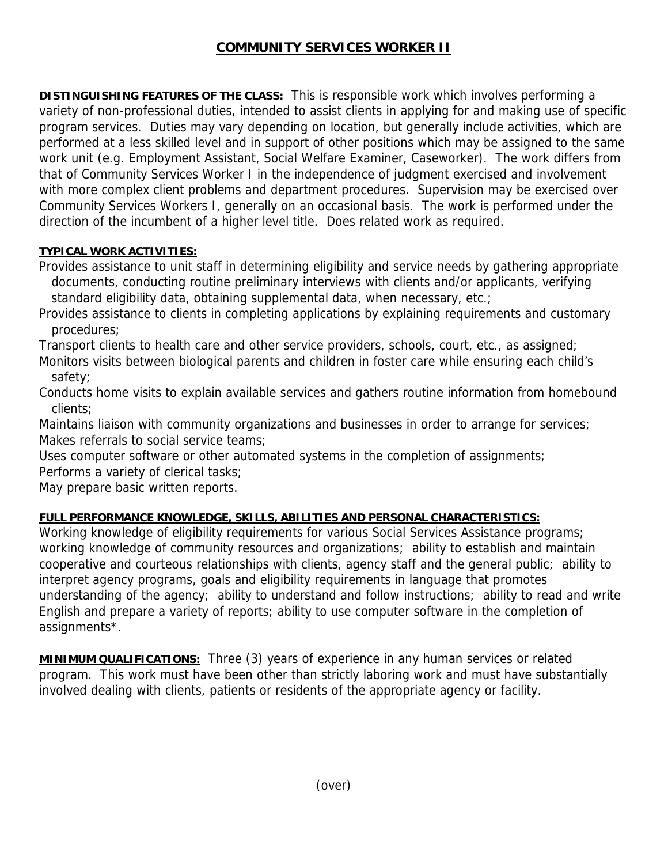## **COMMUNITY SERVICES WORKER II**

**DISTINGUISHING FEATURES OF THE CLASS:** This is responsible work which involves performing a variety of non-professional duties, intended to assist clients in applying for and making use of specific program services. Duties may vary depending on location, but generally include activities, which are performed at a less skilled level and in support of other positions which may be assigned to the same work unit (e.g. Employment Assistant, Social Welfare Examiner, Caseworker). The work differs from that of Community Services Worker I in the independence of judgment exercised and involvement with more complex client problems and department procedures. Supervision may be exercised over Community Services Workers I, generally on an occasional basis. The work is performed under the direction of the incumbent of a higher level title. Does related work as required.

## **TYPICAL WORK ACTIVITIES:**

Provides assistance to unit staff in determining eligibility and service needs by gathering appropriate documents, conducting routine preliminary interviews with clients and/or applicants, verifying standard eligibility data, obtaining supplemental data, when necessary, etc.;

Provides assistance to clients in completing applications by explaining requirements and customary procedures;

Transport clients to health care and other service providers, schools, court, etc., as assigned;

Monitors visits between biological parents and children in foster care while ensuring each child's safety;

Conducts home visits to explain available services and gathers routine information from homebound clients;

Maintains liaison with community organizations and businesses in order to arrange for services; Makes referrals to social service teams;

Uses computer software or other automated systems in the completion of assignments; Performs a variety of clerical tasks;

May prepare basic written reports.

## **FULL PERFORMANCE KNOWLEDGE, SKILLS, ABILITIES AND PERSONAL CHARACTERISTICS:**

Working knowledge of eligibility requirements for various Social Services Assistance programs; working knowledge of community resources and organizations; ability to establish and maintain cooperative and courteous relationships with clients, agency staff and the general public; ability to interpret agency programs, goals and eligibility requirements in language that promotes understanding of the agency; ability to understand and follow instructions; ability to read and write English and prepare a variety of reports; ability to use computer software in the completion of assignments\*.

**MINIMUM QUALIFICATIONS:** Three (3) years of experience in any human services or related program. This work must have been other than strictly laboring work and must have substantially involved dealing with clients, patients or residents of the appropriate agency or facility.